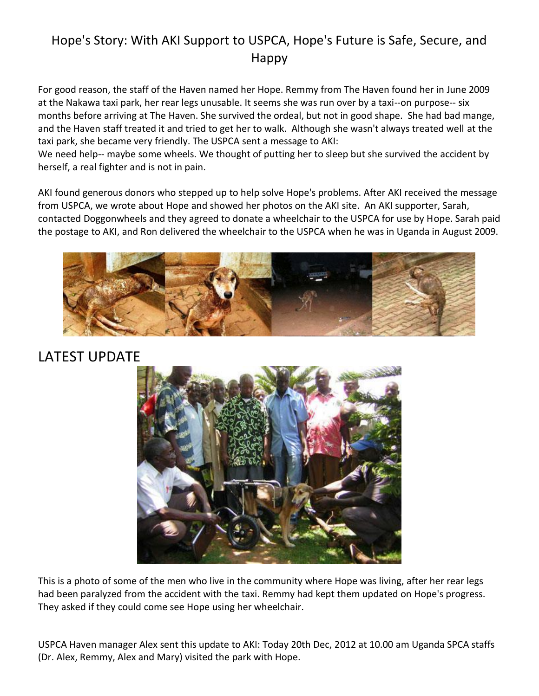## Hope's Story: With AKI Support to USPCA, Hope's Future is Safe, Secure, and Happy

For good reason, the staff of the Haven named her Hope. Remmy from The Haven found her in June 2009 at the Nakawa taxi park, her rear legs unusable. It seems she was run over by a taxi--on purpose-- six months before arriving at The Haven. She survived the ordeal, but not in good shape. She had bad mange, and the Haven staff treated it and tried to get her to walk. Although she wasn't always treated well at the taxi park, she became very friendly. The USPCA sent a message to AKI:

We need help-- maybe some wheels. We thought of putting her to sleep but she survived the accident by herself, a real fighter and is not in pain.

AKI found generous donors who stepped up to help solve Hope's problems. After AKI received the message from USPCA, we wrote about Hope and showed her photos on the AKI site. An AKI supporter, Sarah, contacted Doggonwheels and they agreed to donate a wheelchair to the USPCA for use by Hope. Sarah paid the postage to AKI, and Ron delivered the wheelchair to the USPCA when he was in Uganda in August 2009.



## LATEST UPDATE



This is a photo of some of the men who live in the community where Hope was living, after her rear legs had been paralyzed from the accident with the taxi. Remmy had kept them updated on Hope's progress. They asked if they could come see Hope using her wheelchair.

USPCA Haven manager Alex sent this update to AKI: Today 20th Dec, 2012 at 10.00 am Uganda SPCA staffs (Dr. Alex, Remmy, Alex and Mary) visited the park with Hope.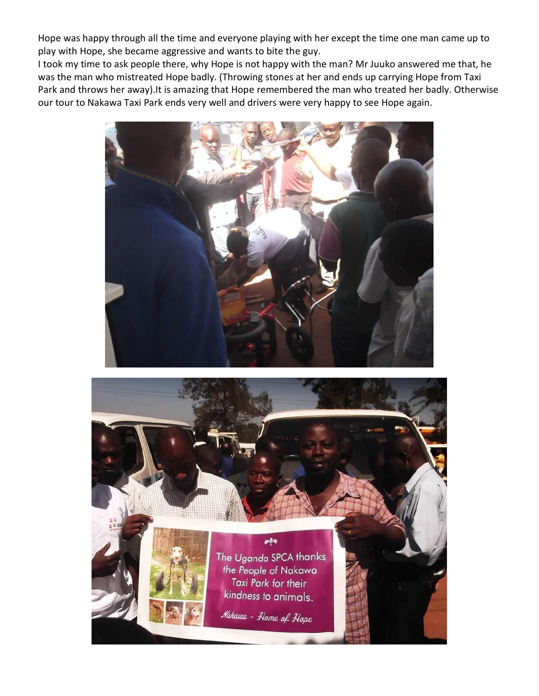Hope was happy through all the time and everyone playing with her except the time one man came up to play with Hope, she became aggressive and wants to bite the guy.

I took my time to ask people there, why Hope is not happy with the man? Mr Juuko answered me that, he was the man who mistreated Hope badly. (Throwing stones at her and ends up carrying Hope from Taxi Park and throws her away).It is amazing that Hope remembered the man who treated her badly. Otherwise our tour to Nakawa Taxi Park ends very well and drivers were very happy to see Hope again.